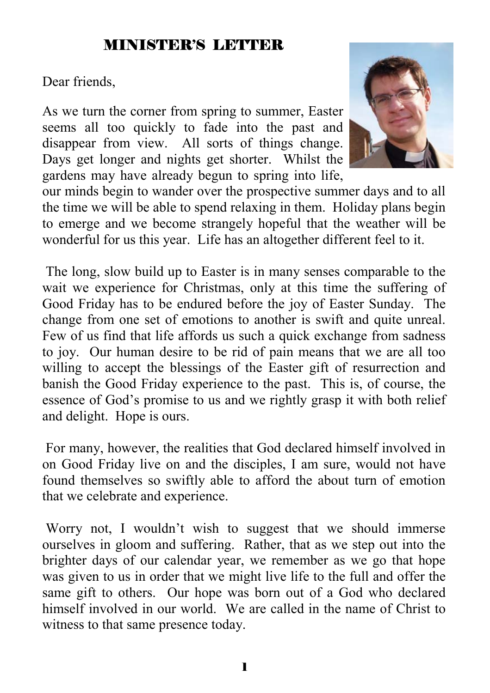### MINISTER'S LETTER

Dear friends,

As we turn the corner from spring to summer, Easter seems all too quickly to fade into the past and disappear from view. All sorts of things change. Days get longer and nights get shorter. Whilst the gardens may have already begun to spring into life,



our minds begin to wander over the prospective summer days and to all the time we will be able to spend relaxing in them. Holiday plans begin to emerge and we become strangely hopeful that the weather will be wonderful for us this year. Life has an altogether different feel to it.

 The long, slow build up to Easter is in many senses comparable to the wait we experience for Christmas, only at this time the suffering of Good Friday has to be endured before the joy of Easter Sunday. The change from one set of emotions to another is swift and quite unreal. Few of us find that life affords us such a quick exchange from sadness to joy. Our human desire to be rid of pain means that we are all too willing to accept the blessings of the Easter gift of resurrection and banish the Good Friday experience to the past. This is, of course, the essence of God's promise to us and we rightly grasp it with both relief and delight. Hope is ours.

 For many, however, the realities that God declared himself involved in on Good Friday live on and the disciples, I am sure, would not have found themselves so swiftly able to afford the about turn of emotion that we celebrate and experience.

 Worry not, I wouldn't wish to suggest that we should immerse ourselves in gloom and suffering. Rather, that as we step out into the brighter days of our calendar year, we remember as we go that hope was given to us in order that we might live life to the full and offer the same gift to others. Our hope was born out of a God who declared himself involved in our world. We are called in the name of Christ to witness to that same presence today.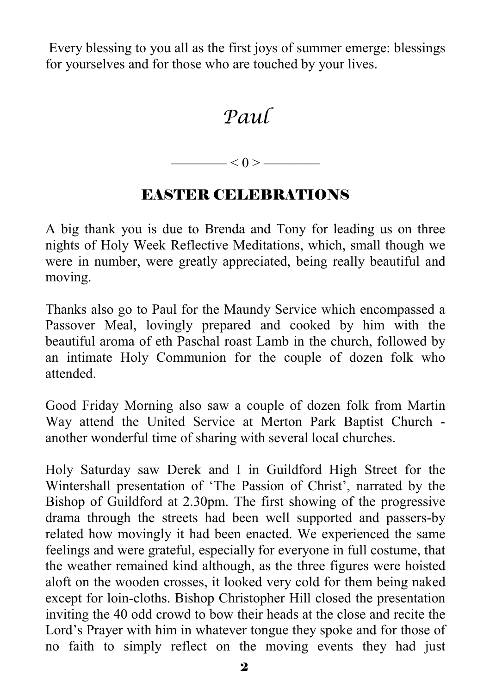Every blessing to you all as the first joys of summer emerge: blessings for yourselves and for those who are touched by your lives.

## *Paul*

 $-$  < 0 >  $-$ 

### EASTER CELEBRATIONS

A big thank you is due to Brenda and Tony for leading us on three nights of Holy Week Reflective Meditations, which, small though we were in number, were greatly appreciated, being really beautiful and moving.

Thanks also go to Paul for the Maundy Service which encompassed a Passover Meal, lovingly prepared and cooked by him with the beautiful aroma of eth Paschal roast Lamb in the church, followed by an intimate Holy Communion for the couple of dozen folk who attended.

Good Friday Morning also saw a couple of dozen folk from Martin Way attend the United Service at Merton Park Baptist Church another wonderful time of sharing with several local churches.

Holy Saturday saw Derek and I in Guildford High Street for the Wintershall presentation of 'The Passion of Christ', narrated by the Bishop of Guildford at 2.30pm. The first showing of the progressive drama through the streets had been well supported and passers-by related how movingly it had been enacted. We experienced the same feelings and were grateful, especially for everyone in full costume, that the weather remained kind although, as the three figures were hoisted aloft on the wooden crosses, it looked very cold for them being naked except for loin-cloths. Bishop Christopher Hill closed the presentation inviting the 40 odd crowd to bow their heads at the close and recite the Lord's Prayer with him in whatever tongue they spoke and for those of no faith to simply reflect on the moving events they had just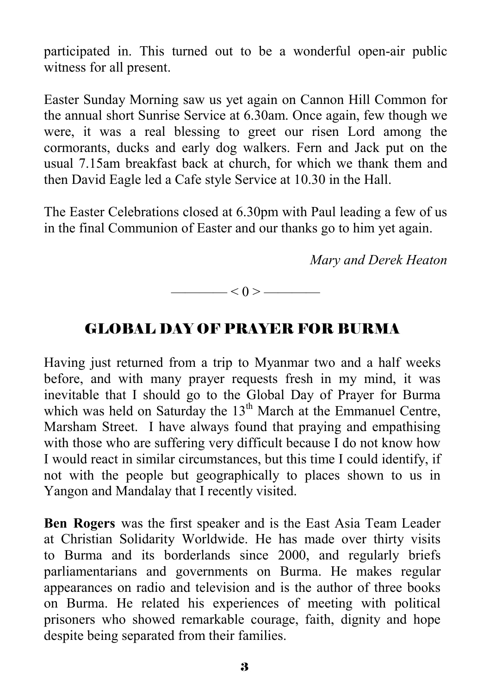participated in. This turned out to be a wonderful open-air public witness for all present.

Easter Sunday Morning saw us yet again on Cannon Hill Common for the annual short Sunrise Service at 6.30am. Once again, few though we were, it was a real blessing to greet our risen Lord among the cormorants, ducks and early dog walkers. Fern and Jack put on the usual 7.15am breakfast back at church, for which we thank them and then David Eagle led a Cafe style Service at 10.30 in the Hall.

The Easter Celebrations closed at 6.30pm with Paul leading a few of us in the final Communion of Easter and our thanks go to him yet again.

*Mary and Derek Heaton*

 $-$  < 0 >  $-$ 

#### GLOBAL DAY OF PRAYER FOR BURMA

Having just returned from a trip to Myanmar two and a half weeks before, and with many prayer requests fresh in my mind, it was inevitable that I should go to the Global Day of Prayer for Burma which was held on Saturday the  $13<sup>th</sup>$  March at the Emmanuel Centre, Marsham Street. I have always found that praying and empathising with those who are suffering very difficult because I do not know how I would react in similar circumstances, but this time I could identify, if not with the people but geographically to places shown to us in Yangon and Mandalay that I recently visited.

**Ben Rogers** was the first speaker and is the East Asia Team Leader at Christian Solidarity Worldwide. He has made over thirty visits to Burma and its borderlands since 2000, and regularly briefs parliamentarians and governments on Burma. He makes regular appearances on radio and television and is the author of three books on Burma. He related his experiences of meeting with political prisoners who showed remarkable courage, faith, dignity and hope despite being separated from their families.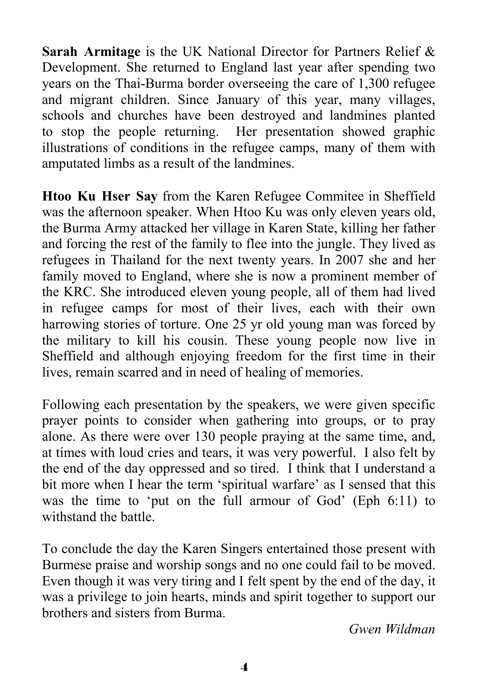**Sarah Armitage** is the UK National Director for Partners Relief & Development. She returned to England last year after spending two years on the Thai-Burma border overseeing the care of 1,300 refugee and migrant children. Since January of this year, many villages, schools and churches have been destroyed and landmines planted to stop the people returning. Her presentation showed graphic illustrations of conditions in the refugee camps, many of them with amputated limbs as a result of the landmines.

**Htoo Ku Hser Say** from the Karen Refugee Commitee in Sheffield was the afternoon speaker. When Htoo Ku was only eleven years old, the Burma Army attacked her village in Karen State, killing her father and forcing the rest of the family to flee into the jungle. They lived as refugees in Thailand for the next twenty years. In 2007 she and her family moved to England, where she is now a prominent member of the KRC. She introduced eleven young people, all of them had lived in refugee camps for most of their lives, each with their own harrowing stories of torture. One 25 yr old young man was forced by the military to kill his cousin. These young people now live in Sheffield and although enjoying freedom for the first time in their lives, remain scarred and in need of healing of memories.

Following each presentation by the speakers, we were given specific prayer points to consider when gathering into groups, or to pray alone. As there were over 130 people praying at the same time, and, at times with loud cries and tears, it was very powerful. I also felt by the end of the day oppressed and so tired. I think that I understand a bit more when I hear the term 'spiritual warfare' as I sensed that this was the time to 'put on the full armour of God' (Eph 6:11) to withstand the battle.

To conclude the day the Karen Singers entertained those present with Burmese praise and worship songs and no one could fail to be moved. Even though it was very tiring and I felt spent by the end of the day, it was a privilege to join hearts, minds and spirit together to support our brothers and sisters from Burma.

*Gwen Wildman*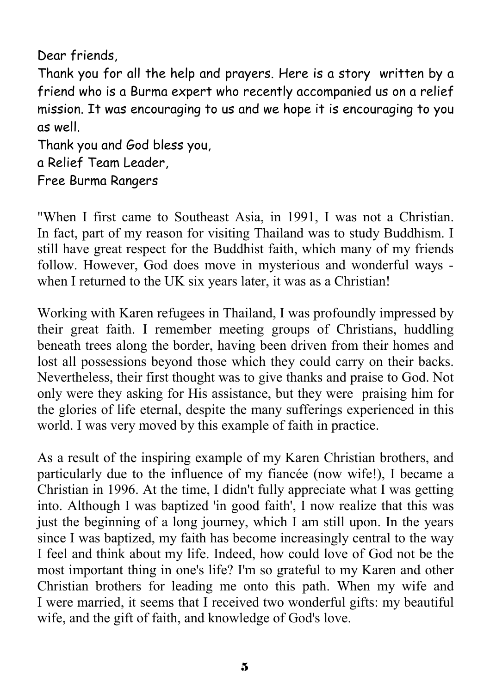Dear friends,

Thank you for all the help and prayers. Here is a story written by a friend who is a Burma expert who recently accompanied us on a relief mission. It was encouraging to us and we hope it is encouraging to you as well.

Thank you and God bless you, a Relief Team Leader,

Free Burma Rangers

"When I first came to Southeast Asia, in 1991, I was not a Christian. In fact, part of my reason for visiting Thailand was to study Buddhism. I still have great respect for the Buddhist faith, which many of my friends follow. However, God does move in mysterious and wonderful ways when I returned to the UK six years later, it was as a Christian!

Working with Karen refugees in Thailand, I was profoundly impressed by their great faith. I remember meeting groups of Christians, huddling beneath trees along the border, having been driven from their homes and lost all possessions beyond those which they could carry on their backs. Nevertheless, their first thought was to give thanks and praise to God. Not only were they asking for His assistance, but they were praising him for the glories of life eternal, despite the many sufferings experienced in this world. I was very moved by this example of faith in practice.

As a result of the inspiring example of my Karen Christian brothers, and particularly due to the influence of my fiancée (now wife!), I became a Christian in 1996. At the time, I didn't fully appreciate what I was getting into. Although I was baptized 'in good faith', I now realize that this was just the beginning of a long journey, which I am still upon. In the years since I was baptized, my faith has become increasingly central to the way I feel and think about my life. Indeed, how could love of God not be the most important thing in one's life? I'm so grateful to my Karen and other Christian brothers for leading me onto this path. When my wife and I were married, it seems that I received two wonderful gifts: my beautiful wife, and the gift of faith, and knowledge of God's love.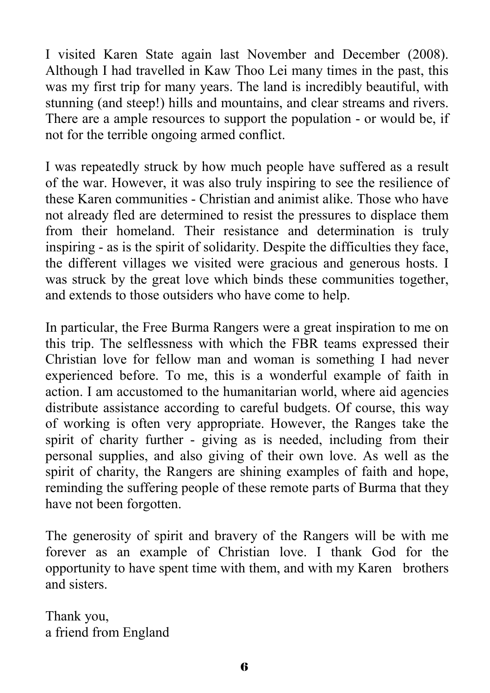I visited Karen State again last November and December (2008). Although I had travelled in Kaw Thoo Lei many times in the past, this was my first trip for many years. The land is incredibly beautiful, with stunning (and steep!) hills and mountains, and clear streams and rivers. There are a ample resources to support the population - or would be, if not for the terrible ongoing armed conflict.

I was repeatedly struck by how much people have suffered as a result of the war. However, it was also truly inspiring to see the resilience of these Karen communities - Christian and animist alike. Those who have not already fled are determined to resist the pressures to displace them from their homeland. Their resistance and determination is truly inspiring - as is the spirit of solidarity. Despite the difficulties they face, the different villages we visited were gracious and generous hosts. I was struck by the great love which binds these communities together, and extends to those outsiders who have come to help.

In particular, the Free Burma Rangers were a great inspiration to me on this trip. The selflessness with which the FBR teams expressed their Christian love for fellow man and woman is something I had never experienced before. To me, this is a wonderful example of faith in action. I am accustomed to the humanitarian world, where aid agencies distribute assistance according to careful budgets. Of course, this way of working is often very appropriate. However, the Ranges take the spirit of charity further - giving as is needed, including from their personal supplies, and also giving of their own love. As well as the spirit of charity, the Rangers are shining examples of faith and hope, reminding the suffering people of these remote parts of Burma that they have not been forgotten.

The generosity of spirit and bravery of the Rangers will be with me forever as an example of Christian love. I thank God for the opportunity to have spent time with them, and with my Karen brothers and sisters.

Thank you, a friend from England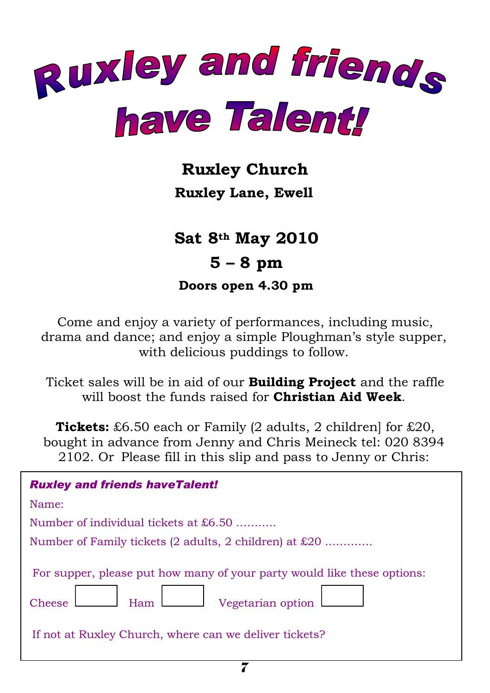

### **Ruxley Church**

**Ruxley Lane, Ewell** 

 **Sat 8th May 2010 5 – 8 pm Doors open 4.30 pm** 

Come and enjoy a variety of performances, including music, drama and dance; and enjoy a simple Ploughman's style supper, with delicious puddings to follow.

Ticket sales will be in aid of our **Building Project** and the raffle will boost the funds raised for **Christian Aid Week**.

**Tickets:** £6.50 each or Family (2 adults, 2 children] for £20, bought in advance from Jenny and Chris Meineck tel: 020 8394 2102. Or Please fill in this slip and pass to Jenny or Chris:

| <b>Ruxley and friends haveTalent!</b>                                                                                                                                          |  |  |  |
|--------------------------------------------------------------------------------------------------------------------------------------------------------------------------------|--|--|--|
| Name:                                                                                                                                                                          |  |  |  |
| Number of individual tickets at £6.50                                                                                                                                          |  |  |  |
| Number of Family tickets (2 adults, 2 children) at £20                                                                                                                         |  |  |  |
| For supper, please put how many of your party would like these options:<br>Ham Vegetarian option<br>Cheese $\lfloor$<br>If not at Ruxley Church, where can we deliver tickets? |  |  |  |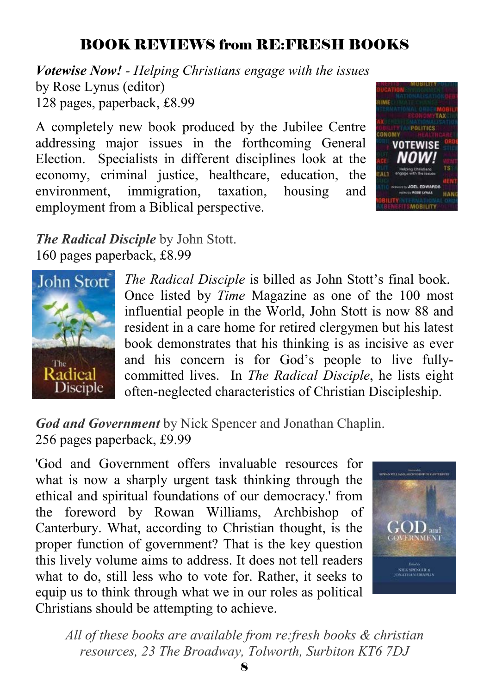### BOOK REVIEWS from RE:FRESH BOOKS

*Votewise Now! - Helping Christians engage with the issues* by Rose Lynus (editor) 128 pages, paperback, £8.99

A completely new book produced by the Jubilee Centre addressing major issues in the forthcoming General Election. Specialists in different disciplines look at the economy, criminal justice, healthcare, education, the environment, immigration, taxation, housing and employment from a Biblical perspective.



*The Radical Disciple* by John Stott. 160 pages paperback, £8.99



*The Radical Disciple* is billed as John Stott's final book. Once listed by *Time* Magazine as one of the 100 most influential people in the World, John Stott is now 88 and resident in a care home for retired clergymen but his latest book demonstrates that his thinking is as incisive as ever and his concern is for God's people to live fullycommitted lives. In *The Radical Disciple*, he lists eight often-neglected characteristics of Christian Discipleship.

*God and Government* by Nick Spencer and Jonathan Chaplin. 256 pages paperback, £9.99

'God and Government offers invaluable resources for what is now a sharply urgent task thinking through the ethical and spiritual foundations of our democracy.' from the foreword by Rowan Williams, Archbishop of Canterbury. What, according to Christian thought, is the proper function of government? That is the key question this lively volume aims to address. It does not tell readers what to do, still less who to vote for. Rather, it seeks to equip us to think through what we in our roles as political Christians should be attempting to achieve.



*All of these books are available from re:fresh books & christian resources, 23 The Broadway, Tolworth, Surbiton KT6 7DJ*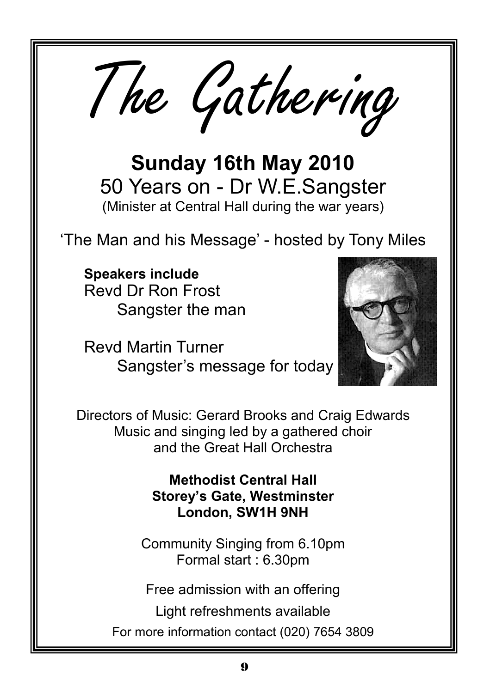The Gathering

**Sunday 16th May 2010**  50 Years on - Dr W.E.Sangster (Minister at Central Hall during the war years)

'The Man and his Message' - hosted by Tony Miles

**Speakers include**  Revd Dr Ron Frost Sangster the man

Revd Martin Turner Sangster's message for today



Directors of Music: Gerard Brooks and Craig Edwards Music and singing led by a gathered choir and the Great Hall Orchestra

> **Methodist Central Hall Storey's Gate, Westminster London, SW1H 9NH**

Community Singing from 6.10pm Formal start : 6.30pm

Free admission with an offering

Light refreshments available

For more information contact (020) 7654 3809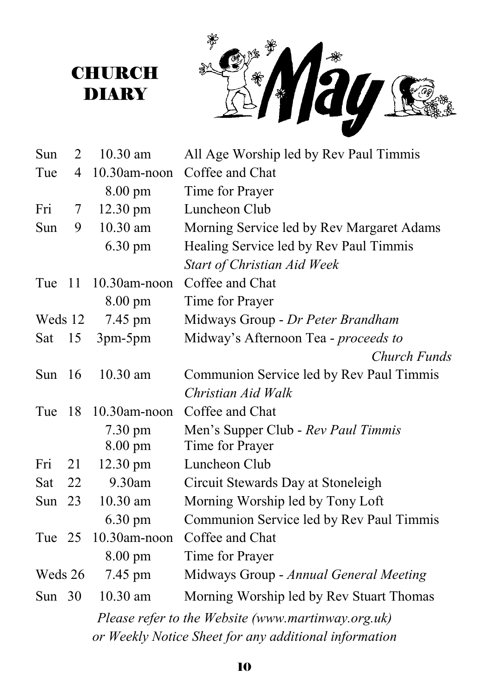

| Sun      | 2                                                     | 10.30 am          | All Age Worship led by Rev Paul Timmis             |  |
|----------|-------------------------------------------------------|-------------------|----------------------------------------------------|--|
| Tue      | 4                                                     | 10.30am-noon      | Coffee and Chat                                    |  |
|          |                                                       | 8.00 pm           | Time for Prayer                                    |  |
| Fri      | 7                                                     | 12.30 pm          | Luncheon Club                                      |  |
| Sun      | 9                                                     | 10.30 am          | Morning Service led by Rev Margaret Adams          |  |
|          |                                                       | $6.30 \text{ pm}$ | Healing Service led by Rev Paul Timmis             |  |
|          |                                                       |                   | Start of Christian Aid Week                        |  |
| Tue      | -11                                                   | 10.30am-noon      | Coffee and Chat                                    |  |
|          |                                                       | 8.00 pm           | Time for Prayer                                    |  |
| Weds 12  |                                                       | 7.45 pm           | Midways Group - Dr Peter Brandham                  |  |
| Sat      | 15                                                    | 3pm-5pm           | Midway's Afternoon Tea - proceeds to               |  |
|          |                                                       |                   | Church Funds                                       |  |
| Sun      | <sup>16</sup>                                         | $10.30$ am        | Communion Service led by Rev Paul Timmis           |  |
|          |                                                       |                   | Christian Aid Walk                                 |  |
| Tue      | 18                                                    | $10.30$ am-noon   | Coffee and Chat                                    |  |
|          |                                                       | $7.30 \text{ pm}$ | Men's Supper Club - Rev Paul Timmis                |  |
|          |                                                       | $8.00 \text{ pm}$ | Time for Prayer                                    |  |
| Fri      | 21                                                    | 12.30 pm          | Luncheon Club                                      |  |
| Sat      | 22                                                    | 9.30am            | Circuit Stewards Day at Stoneleigh                 |  |
| Sun $23$ |                                                       | 10.30 am          | Morning Worship led by Tony Loft                   |  |
|          |                                                       | $6.30 \text{ pm}$ | Communion Service led by Rev Paul Timmis           |  |
| Tue 25   |                                                       | 10.30am-noon      | Coffee and Chat                                    |  |
|          |                                                       | 8.00 pm           | Time for Prayer                                    |  |
| Weds 26  |                                                       | 7.45 pm           | Midways Group - Annual General Meeting             |  |
| Sun $30$ |                                                       | 10.30 am          | Morning Worship led by Rev Stuart Thomas           |  |
|          |                                                       |                   | Please refer to the Website (www.martinway.org.uk) |  |
|          | or Weekly Notice Sheet for any additional information |                   |                                                    |  |

**CHURCH** DIARY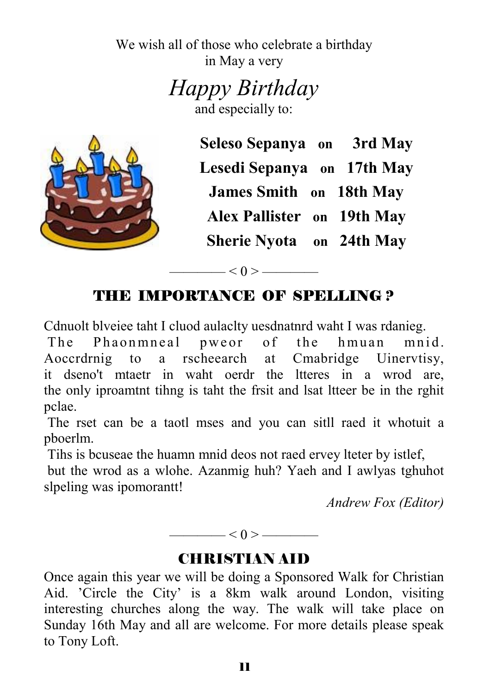We wish all of those who celebrate a birthday in May a very

*Happy Birthday* 

and especially to:



**Seleso Sepanya on 3rd May Lesedi Sepanya on 17th May James Smith on 18th May Alex Pallister on 19th May Sherie Nyota on 24th May**

### THE IMPORTANCE OF SPELLING ?

 $-$  < 0 > ———

Cdnuolt blveiee taht I cluod aulaclty uesdnatnrd waht I was rdanieg.

The Phaonmneal pweor of the hmuan mnid. Aoccrdrnig to a rscheearch at Cmabridge Uinervtisy, it dseno't mtaetr in waht oerdr the ltteres in a wrod are, the only iproamtnt tihng is taht the frsit and lsat ltteer be in the rghit pclae.

 The rset can be a taotl mses and you can sitll raed it whotuit a pboerlm.

Tihs is bcuseae the huamn mnid deos not raed ervey lteter by istlef,

 but the wrod as a wlohe. Azanmig huh? Yaeh and I awlyas tghuhot slpeling was ipomorantt!

*Andrew Fox (Editor)* 

———— < 0 > ————

#### CHRISTIAN AID

Once again this year we will be doing a Sponsored Walk for Christian Aid. 'Circle the City' is a 8km walk around London, visiting interesting churches along the way. The walk will take place on Sunday 16th May and all are welcome. For more details please speak to Tony Loft.